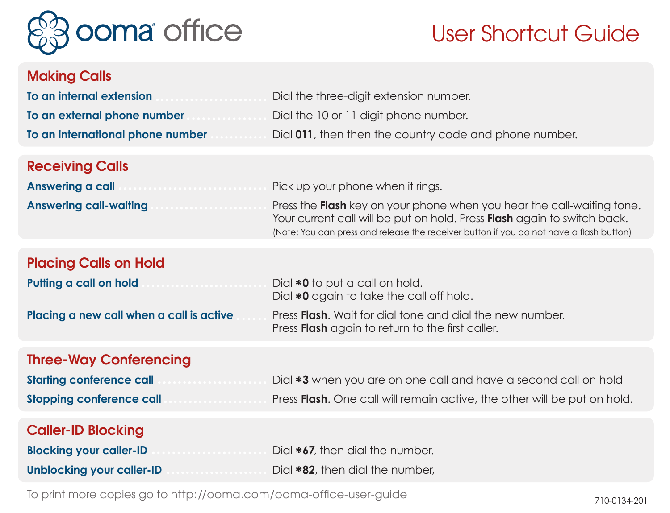

# User Shortcut Guide

### Making Calls

| To an internal extension<br>.    | Dial the three-digit extension number.                 |
|----------------------------------|--------------------------------------------------------|
| To an external phone number<br>. | Dial the 10 or 11 digit phone number.                  |
| To an international phone number | Dial 011, then then the country code and phone number. |

#### Receiving Calls

| Answering a call              | Pick up your phone when it rings.                                             |
|-------------------------------|-------------------------------------------------------------------------------|
| <b>Answering call-waiting</b> | Press the <b>Flash</b> key on your phone when you hear the call-waiting tone. |

Your current call will be put on hold. Press Flash again to switch back. (Note: You can press and release the receiver button if you do not have a flash button)

#### Placing Calls on Hold

| Putting a call on hold                   | Dial <b>*0</b> to put a call on hold.                                                                                       |
|------------------------------------------|-----------------------------------------------------------------------------------------------------------------------------|
|                                          | Dial *0 again to take the call off hold.                                                                                    |
| Placing a new call when a call is active | Press <b>Flash</b> . Wait for dial tone and dial the new number.<br>Press <b>Flash</b> again to return to the first caller. |

#### Three-Way Conferencing

| <b>Starting conference call</b> | Dial *3 when you are on one call and have a second call on hold          |
|---------------------------------|--------------------------------------------------------------------------|
| <b>Stopping conference call</b> | Press Flash. One call will remain active, the other will be put on hold. |

## Caller-ID Blocking

| <b>Blocking your caller-ID</b> | Dial *67, then dial the number. |
|--------------------------------|---------------------------------|
| Unblocking your caller-ID      | Dial *82, then dial the number, |

710-0134-201 To print more copies go to http://ooma.com/ooma-office-user-guide